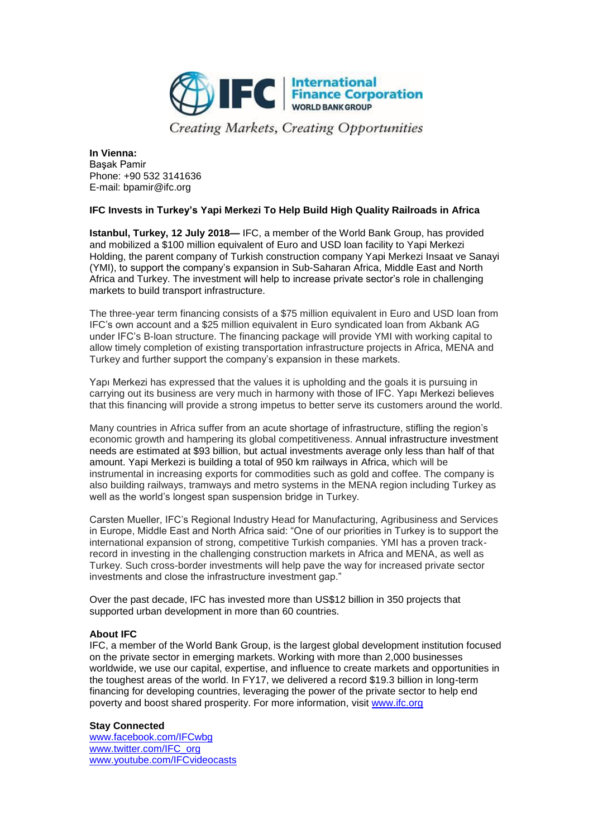

**Creating Markets, Creating Opportunities** 

**In Vienna:** Başak Pamir Phone: +90 532 3141636 E-mail: bpamir@ifc.org

## **IFC Invests in Turkey's Yapi Merkezi To Help Build High Quality Railroads in Africa**

**Istanbul, Turkey, 12 July 2018—** IFC, a member of the World Bank Group, has provided and mobilized a \$100 million equivalent of Euro and USD loan facility to Yapi Merkezi Holding, the parent company of Turkish construction company Yapi Merkezi Insaat ve Sanayi (YMI), to support the company's expansion in Sub-Saharan Africa, Middle East and North Africa and Turkey. The investment will help to increase private sector's role in challenging markets to build transport infrastructure.

The three-year term financing consists of a \$75 million equivalent in Euro and USD loan from IFC's own account and a \$25 million equivalent in Euro syndicated loan from Akbank AG under IFC's B-loan structure. The financing package will provide YMI with working capital to allow timely completion of existing transportation infrastructure projects in Africa, MENA and Turkey and further support the company's expansion in these markets.

Yapı Merkezi has expressed that the values it is upholding and the goals it is pursuing in carrying out its business are very much in harmony with those of IFC. Yapı Merkezi believes that this financing will provide a strong impetus to better serve its customers around the world.

Many countries in Africa suffer from an acute shortage of infrastructure, stifling the region's economic growth and hampering its global competitiveness. Annual infrastructure investment needs are estimated at \$93 billion, but actual investments average only less than half of that amount. Yapi Merkezi is building a total of 950 km railways in Africa, which will be instrumental in increasing exports for commodities such as gold and coffee. The company is also building railways, tramways and metro systems in the MENA region including Turkey as well as the world's longest span suspension bridge in Turkey.

Carsten Mueller, IFC's Regional Industry Head for Manufacturing, Agribusiness and Services in Europe, Middle East and North Africa said: "One of our priorities in Turkey is to support the international expansion of strong, competitive Turkish companies. YMI has a proven trackrecord in investing in the challenging construction markets in Africa and MENA, as well as Turkey. Such cross-border investments will help pave the way for increased private sector investments and close the infrastructure investment gap."

Over the past decade, IFC has invested more than US\$12 billion in 350 projects that supported urban development in more than 60 countries.

## **About IFC**

IFC, a member of the World Bank Group, is the largest global development institution focused on the private sector in emerging markets. Working with more than 2,000 businesses worldwide, we use our capital, expertise, and influence to create markets and opportunities in the toughest areas of the world. In FY17, we delivered a record \$19.3 billion in long-term financing for developing countries, leveraging the power of the private sector to help end poverty and boost shared prosperity. For more information, visit [www.ifc.org](http://www.ifc.org/)

## **Stay Connected**

[www.facebook.com/IFCwbg](http://www.facebook.com/IFCwbg) [www.twitter.com/IFC\\_org](http://www.twitter.com/IFC_org) [www.youtube.com/IFCvideocasts](http://www.youtube.com/IFCvideocasts)